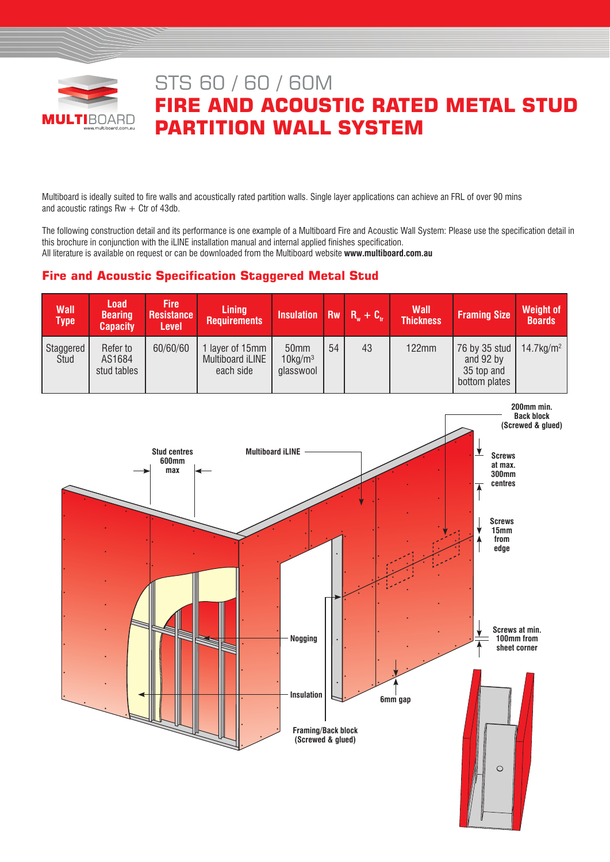

# STS 60 / 60 / 60M **FIRE AND ACOUSTIC RATED METAL STUD PARTITION WALL SYSTEM**

Multiboard is ideally suited to fire walls and acoustically rated partition walls. Single layer applications can achieve an FRL of over 90 mins and acoustic ratings  $Rw + Ctr$  of 43db.

The following construction detail and its performance is one example of a Multiboard Fire and Acoustic Wall System: Please use the specification detail in this brochure in conjunction with the iLINE installation manual and internal applied finishes specification. All literature is available on request or can be downloaded from the Multiboard website **www.multiboard.com.au**

# **Fire and Acoustic Specification Staggered Metal Stud**

| <b>Wall</b><br><b>Type</b> | <b>Load</b><br><b>Bearing</b><br><b>Capacity</b> | <b>Fire</b><br><b>Resistance</b><br>Level | <b>Lining</b><br><b>Requirements</b>                  | <b>Insulation</b> Rw $R_w + C_w$               |    |    | <b>Wall</b><br><b>Thickness</b> | <b>Framing Size</b>                                       | <b>Weight of</b><br><b>Boards</b> |
|----------------------------|--------------------------------------------------|-------------------------------------------|-------------------------------------------------------|------------------------------------------------|----|----|---------------------------------|-----------------------------------------------------------|-----------------------------------|
| Staggered<br>Stud          | Refer to<br>AS1684<br>stud tables                | 60/60/60                                  | layer of 15mm<br><b>Multiboard iLINE</b><br>each side | 50 <sub>mm</sub><br>$10$ kg/m $3$<br>glasswool | 54 | 43 | 122mm                           | 76 by 35 stud<br>and 92 by<br>35 top and<br>bottom plates | $14.7$ kg/m <sup>2</sup>          |